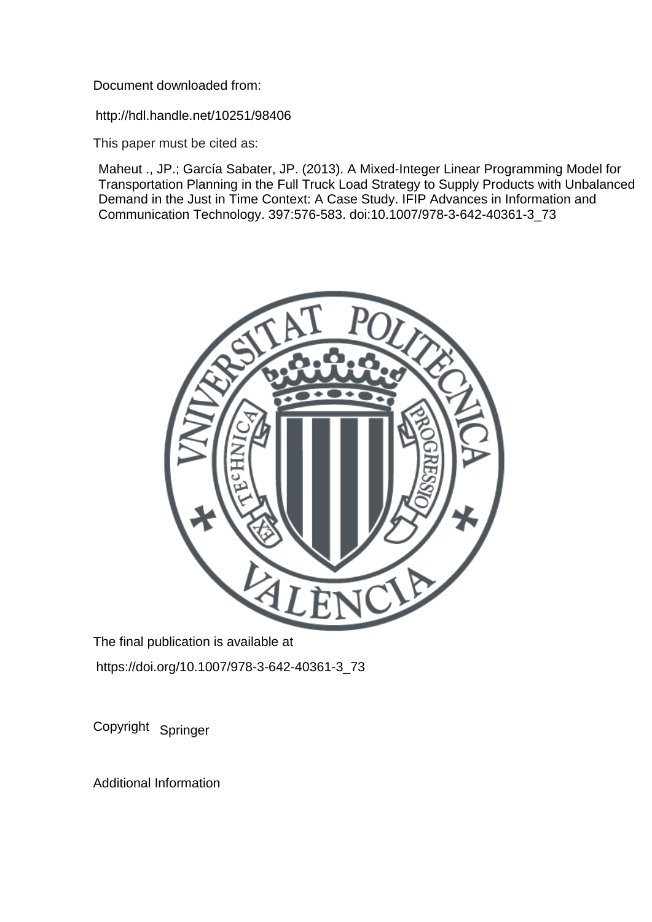Document downloaded from:

http://hdl.handle.net/10251/98406

This paper must be cited as:

Maheut ., JP.; García Sabater, JP. (2013). A Mixed-Integer Linear Programming Model for Transportation Planning in the Full Truck Load Strategy to Supply Products with Unbalanced Demand in the Just in Time Context: A Case Study. IFIP Advances in Information and Communication Technology. 397:576-583. doi:10.1007/978-3-642-40361-3\_73



The final publication is available at https://doi.org/10.1007/978-3-642-40361-3\_73

Copyright Springer

Additional Information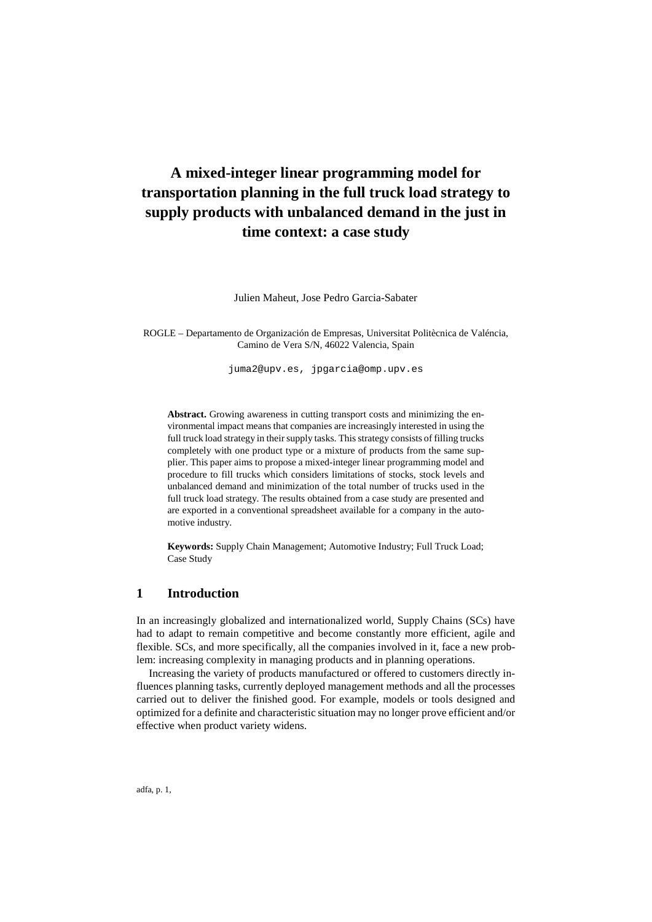# **A mixed-integer linear programming model for transportation planning in the full truck load strategy to supply products with unbalanced demand in the just in time context: a case study**

Julien Maheut, Jose Pedro Garcia-Sabater

ROGLE – Departamento de Organización de Empresas, Universitat Politècnica de Valéncia, Camino de Vera S/N, 46022 Valencia, Spain

[juma2@upv.es,](mailto:juma2@upv.es) [jpgarcia@omp.upv.es](mailto:jpgarcia@omp.upv.es)

**Abstract.** Growing awareness in cutting transport costs and minimizing the environmental impact means that companies are increasingly interested in using the full truck load strategy in their supply tasks. This strategy consists of filling trucks completely with one product type or a mixture of products from the same supplier. This paper aims to propose a mixed-integer linear programming model and procedure to fill trucks which considers limitations of stocks, stock levels and unbalanced demand and minimization of the total number of trucks used in the full truck load strategy. The results obtained from a case study are presented and are exported in a conventional spreadsheet available for a company in the automotive industry.

**Keywords:** Supply Chain Management; Automotive Industry; Full Truck Load; Case Study

## **1 Introduction**

In an increasingly globalized and internationalized world, Supply Chains (SCs) have had to adapt to remain competitive and become constantly more efficient, agile and flexible. SCs, and more specifically, all the companies involved in it, face a new problem: increasing complexity in managing products and in planning operations.

Increasing the variety of products manufactured or offered to customers directly influences planning tasks, currently deployed management methods and all the processes carried out to deliver the finished good. For example, models or tools designed and optimized for a definite and characteristic situation may no longer prove efficient and/or effective when product variety widens.

adfa, p. 1,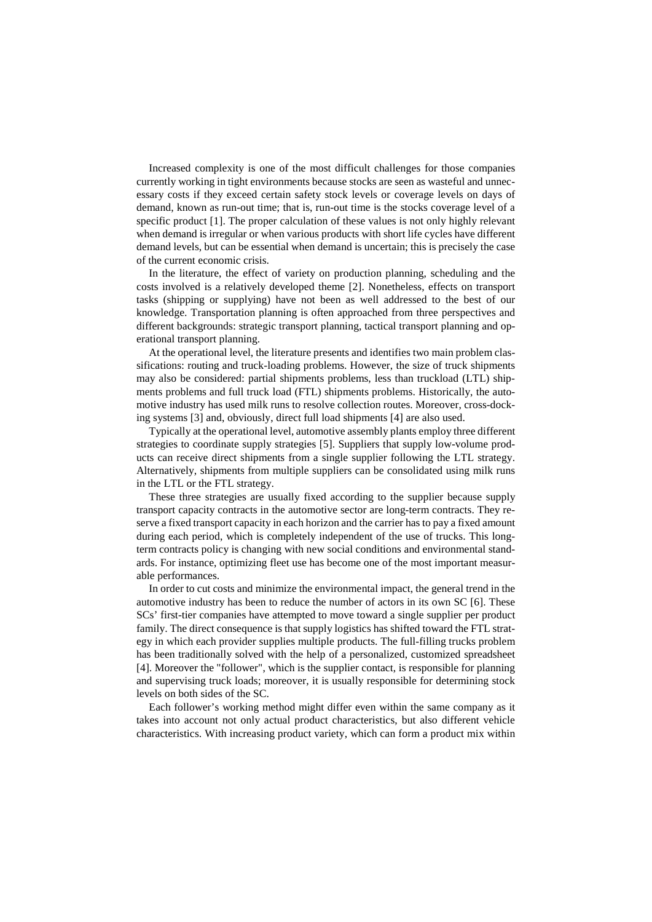Increased complexity is one of the most difficult challenges for those companies currently working in tight environments because stocks are seen as wasteful and unnecessary costs if they exceed certain safety stock levels or coverage levels on days of demand, known as run-out time; that is, run-out time is the stocks coverage level of a specific product [1]. The proper calculation of these values is not only highly relevant when demand is irregular or when various products with short life cycles have different demand levels, but can be essential when demand is uncertain; this is precisely the case of the current economic crisis.

In the literature, the effect of variety on production planning, scheduling and the costs involved is a relatively developed theme [2]. Nonetheless, effects on transport tasks (shipping or supplying) have not been as well addressed to the best of our knowledge. Transportation planning is often approached from three perspectives and different backgrounds: strategic transport planning, tactical transport planning and operational transport planning.

At the operational level, the literature presents and identifies two main problem classifications: routing and truck-loading problems. However, the size of truck shipments may also be considered: partial shipments problems, less than truckload (LTL) shipments problems and full truck load (FTL) shipments problems. Historically, the automotive industry has used milk runs to resolve collection routes. Moreover, cross-docking systems [3] and, obviously, direct full load shipments [4] are also used.

Typically at the operational level, automotive assembly plants employ three different strategies to coordinate supply strategies [5]. Suppliers that supply low-volume products can receive direct shipments from a single supplier following the LTL strategy. Alternatively, shipments from multiple suppliers can be consolidated using milk runs in the LTL or the FTL strategy.

These three strategies are usually fixed according to the supplier because supply transport capacity contracts in the automotive sector are long-term contracts. They reserve a fixed transport capacity in each horizon and the carrier has to pay a fixed amount during each period, which is completely independent of the use of trucks. This longterm contracts policy is changing with new social conditions and environmental standards. For instance, optimizing fleet use has become one of the most important measurable performances.

In order to cut costs and minimize the environmental impact, the general trend in the automotive industry has been to reduce the number of actors in its own SC [6]. These SCs' first-tier companies have attempted to move toward a single supplier per product family. The direct consequence is that supply logistics has shifted toward the FTL strategy in which each provider supplies multiple products. The full-filling trucks problem has been traditionally solved with the help of a personalized, customized spreadsheet [4]. Moreover the "follower", which is the supplier contact, is responsible for planning and supervising truck loads; moreover, it is usually responsible for determining stock levels on both sides of the SC.

Each follower's working method might differ even within the same company as it takes into account not only actual product characteristics, but also different vehicle characteristics. With increasing product variety, which can form a product mix within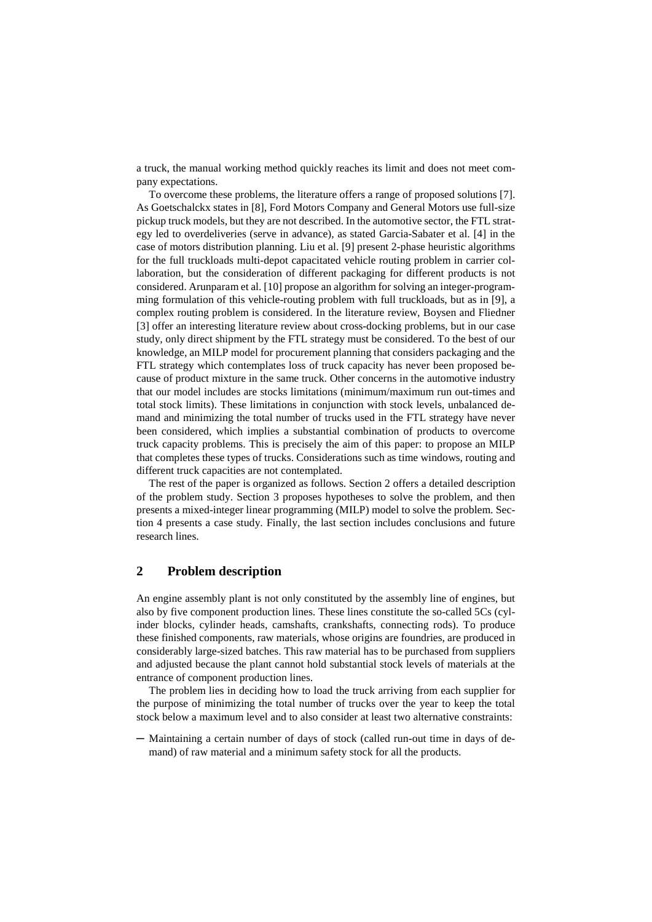a truck, the manual working method quickly reaches its limit and does not meet company expectations.

To overcome these problems, the literature offers a range of proposed solutions [7]. As Goetschalckx states in [8], Ford Motors Company and General Motors use full-size pickup truck models, but they are not described. In the automotive sector, the FTL strategy led to overdeliveries (serve in advance), as stated Garcia-Sabater et al. [4] in the case of motors distribution planning. Liu et al. [9] present 2-phase heuristic algorithms for the full truckloads multi-depot capacitated vehicle routing problem in carrier collaboration, but the consideration of different packaging for different products is not considered. Arunparam et al. [10] propose an algorithm for solving an integer-programming formulation of this vehicle-routing problem with full truckloads, but as in [9], a complex routing problem is considered. In the literature review, Boysen and Fliedner [3] offer an interesting literature review about cross-docking problems, but in our case study, only direct shipment by the FTL strategy must be considered. To the best of our knowledge, an MILP model for procurement planning that considers packaging and the FTL strategy which contemplates loss of truck capacity has never been proposed because of product mixture in the same truck. Other concerns in the automotive industry that our model includes are stocks limitations (minimum/maximum run out-times and total stock limits). These limitations in conjunction with stock levels, unbalanced demand and minimizing the total number of trucks used in the FTL strategy have never been considered, which implies a substantial combination of products to overcome truck capacity problems. This is precisely the aim of this paper: to propose an MILP that completes these types of trucks. Considerations such as time windows, routing and different truck capacities are not contemplated.

The rest of the paper is organized as follows. Section 2 offers a detailed description of the problem study. Section 3 proposes hypotheses to solve the problem, and then presents a mixed-integer linear programming (MILP) model to solve the problem. Section 4 presents a case study. Finally, the last section includes conclusions and future research lines.

## **2 Problem description**

An engine assembly plant is not only constituted by the assembly line of engines, but also by five component production lines. These lines constitute the so-called 5Cs (cylinder blocks, cylinder heads, camshafts, crankshafts, connecting rods). To produce these finished components, raw materials, whose origins are foundries, are produced in considerably large-sized batches. This raw material has to be purchased from suppliers and adjusted because the plant cannot hold substantial stock levels of materials at the entrance of component production lines.

The problem lies in deciding how to load the truck arriving from each supplier for the purpose of minimizing the total number of trucks over the year to keep the total stock below a maximum level and to also consider at least two alternative constraints:

─ Maintaining a certain number of days of stock (called run-out time in days of demand) of raw material and a minimum safety stock for all the products.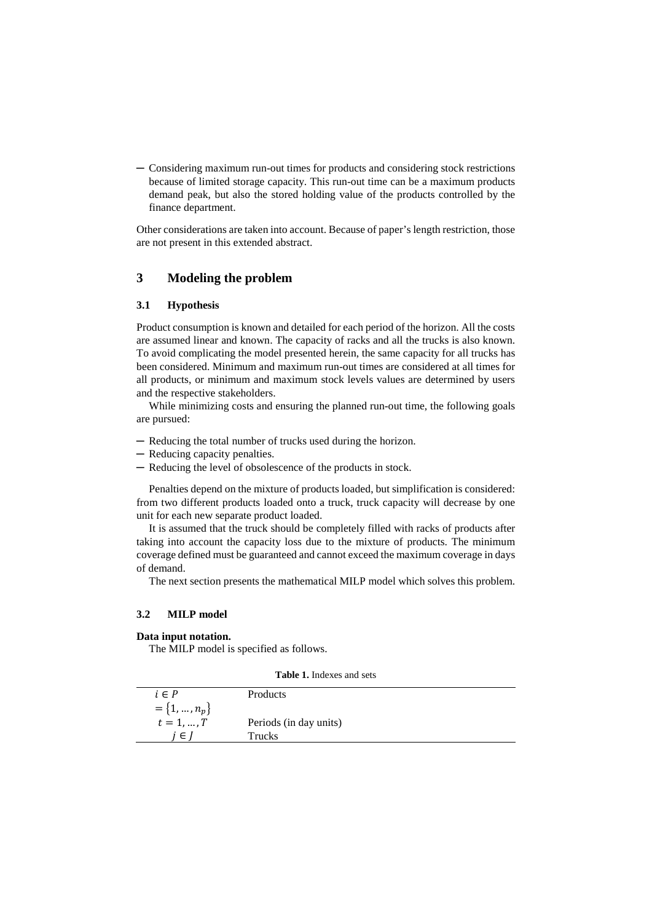─ Considering maximum run-out times for products and considering stock restrictions because of limited storage capacity. This run-out time can be a maximum products demand peak, but also the stored holding value of the products controlled by the finance department.

Other considerations are taken into account. Because of paper's length restriction, those are not present in this extended abstract.

## **3 Modeling the problem**

#### **3.1 Hypothesis**

Product consumption is known and detailed for each period of the horizon. All the costs are assumed linear and known. The capacity of racks and all the trucks is also known. To avoid complicating the model presented herein, the same capacity for all trucks has been considered. Minimum and maximum run-out times are considered at all times for all products, or minimum and maximum stock levels values are determined by users and the respective stakeholders.

While minimizing costs and ensuring the planned run-out time, the following goals are pursued:

- ─ Reducing the total number of trucks used during the horizon.
- ─ Reducing capacity penalties.
- ─ Reducing the level of obsolescence of the products in stock.

Penalties depend on the mixture of products loaded, but simplification is considered: from two different products loaded onto a truck, truck capacity will decrease by one unit for each new separate product loaded.

It is assumed that the truck should be completely filled with racks of products after taking into account the capacity loss due to the mixture of products. The minimum coverage defined must be guaranteed and cannot exceed the maximum coverage in days of demand.

The next section presents the mathematical MILP model which solves this problem.

#### **3.2 MILP model**

#### **Data input notation.**

The MILP model is specified as follows.

**Table 1.** Indexes and sets

| $i \in P$     | Products               |
|---------------|------------------------|
| $=\{1,,n_p\}$ |                        |
| $t = 1, , T$  | Periods (in day units) |
| $\epsilon$    | Trucks                 |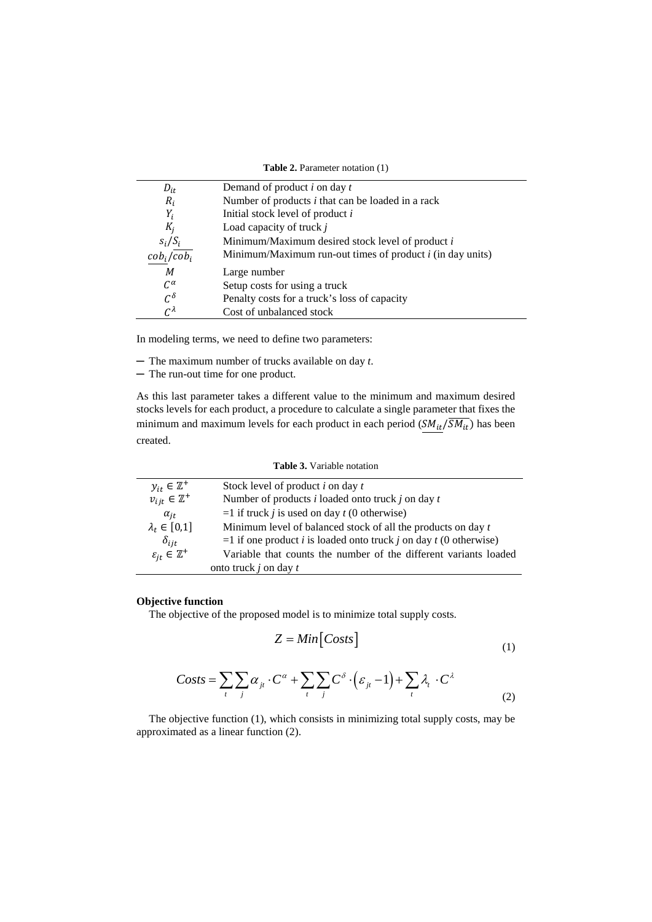**Table 2.** Parameter notation (1)

| $D_{it}$                | Demand of product $i$ on day $t$                            |
|-------------------------|-------------------------------------------------------------|
| $R_i$                   | Number of products $i$ that can be loaded in a rack         |
| $Y_i$                   | Initial stock level of product $i$                          |
| $K_i$                   | Load capacity of truck $j$                                  |
| $S_i/S_i$               | Minimum/Maximum desired stock level of product $i$          |
| $\cosh / \cosh$         | Minimum/Maximum run-out times of product $i$ (in day units) |
| М                       | Large number                                                |
| $C^{\alpha}$            | Setup costs for using a truck                               |
| $\mathcal{C}^{\delta}$  | Penalty costs for a truck's loss of capacity                |
| $\mathcal{C}^{\lambda}$ | Cost of unbalanced stock                                    |

In modeling terms, we need to define two parameters:

- ─ The maximum number of trucks available on day *t*.
- ─ The run-out time for one product.

As this last parameter takes a different value to the minimum and maximum desired stocks levels for each product, a procedure to calculate a single parameter that fixes the minimum and maximum levels for each product in each period  $(SM_{it}/\overline{SM_{it}})$  has been created.

| <b>Table 3.</b> Variable notation   |                                                                                          |  |  |  |
|-------------------------------------|------------------------------------------------------------------------------------------|--|--|--|
| $y_{it} \in \mathbb{Z}^+$           | Stock level of product <i>i</i> on day <i>t</i>                                          |  |  |  |
| $v_{ijt} \in \mathbb{Z}^+$          | Number of products $i$ loaded onto truck $j$ on day $t$                                  |  |  |  |
| $\alpha_{jt}$                       | $=1$ if truck <i>j</i> is used on day <i>t</i> (0 otherwise)                             |  |  |  |
| $\lambda_t \in [0,1]$               | Minimum level of balanced stock of all the products on day $t$                           |  |  |  |
| $\delta_{ijt}$                      | $=1$ if one product <i>i</i> is loaded onto truck <i>j</i> on day <i>t</i> (0 otherwise) |  |  |  |
| $\varepsilon_{it} \in \mathbb{Z}^+$ | Variable that counts the number of the different variants loaded                         |  |  |  |
|                                     | onto truck $j$ on day $t$                                                                |  |  |  |

#### **Objective function**

The objective of the proposed model is to minimize total supply costs.

$$
Z = Min[Costs] \tag{1}
$$

$$
Costs = \sum_{t} \sum_{j} \alpha_{jt} \cdot C^{\alpha} + \sum_{t} \sum_{j} C^{\delta} \cdot (\varepsilon_{jt} - 1) + \sum_{t} \lambda_{t} \cdot C^{\lambda}
$$
\n(2)

The objective function (1), which consists in minimizing total supply costs, may be approximated as a linear function (2).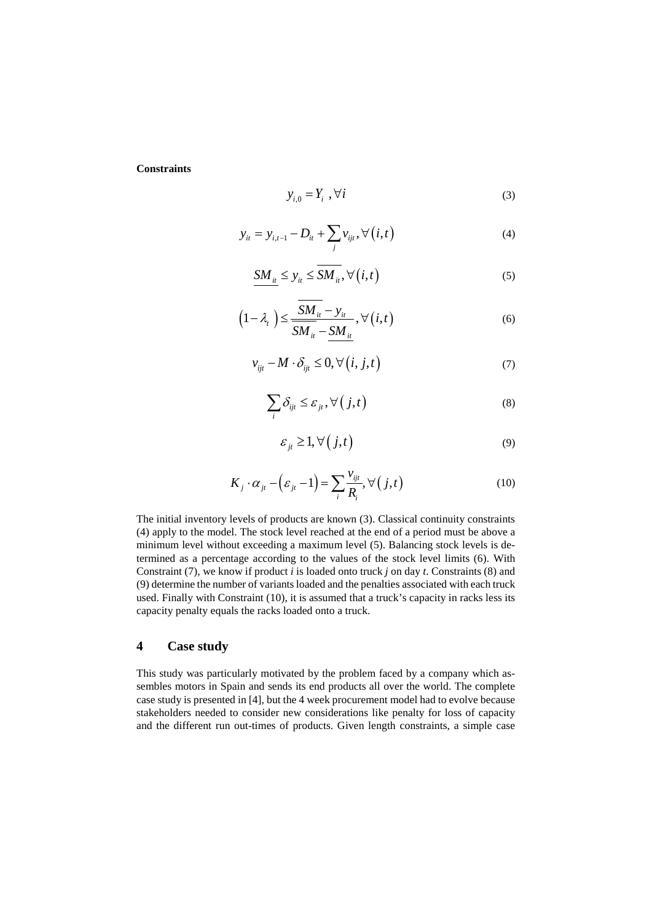**Constraints**

$$
y_{i,0} = Y_i, \forall i
$$
 (3)

$$
y_{it} = y_{i,t-1} - D_{it} + \sum_{j} v_{ijt}, \forall (i, t)
$$
 (4)

$$
\underline{SM}_{it} \le y_{it} \le \overline{SM}_{it}, \forall (i, t)
$$
 (5)

$$
\left(1 - \lambda_{t}\right) \leq \frac{SM_{it} - y_{it}}{SM_{it} - \underline{SM}_{it}}, \forall (i, t)
$$
\n<sup>(6)</sup>

$$
v_{ijt} - M \cdot \delta_{ijt} \le 0, \forall (i, j, t)
$$
 (7)

$$
\sum_{i} \delta_{ijt} \leq \varepsilon_{jt}, \forall (j, t)
$$
 (8)

$$
\varepsilon_{jt} \ge 1, \forall (j, t) \tag{9}
$$

$$
K_j \cdot \alpha_{jt} - (\varepsilon_{jt} - 1) = \sum_i \frac{v_{ijt}}{R_i}, \forall (j, t)
$$
 (10)

The initial inventory levels of products are known (3). Classical continuity constraints (4) apply to the model. The stock level reached at the end of a period must be above a minimum level without exceeding a maximum level (5). Balancing stock levels is determined as a percentage according to the values of the stock level limits (6). With Constraint (7), we know if product *i* is loaded onto truck *j* on day *t*. Constraints (8) and (9) determine the number of variants loaded and the penalties associated with each truck used. Finally with Constraint (10), it is assumed that a truck's capacity in racks less its capacity penalty equals the racks loaded onto a truck.

## **4 Case study**

This study was particularly motivated by the problem faced by a company which assembles motors in Spain and sends its end products all over the world. The complete case study is presented in [4], but the 4 week procurement model had to evolve because stakeholders needed to consider new considerations like penalty for loss of capacity and the different run out-times of products. Given length constraints, a simple case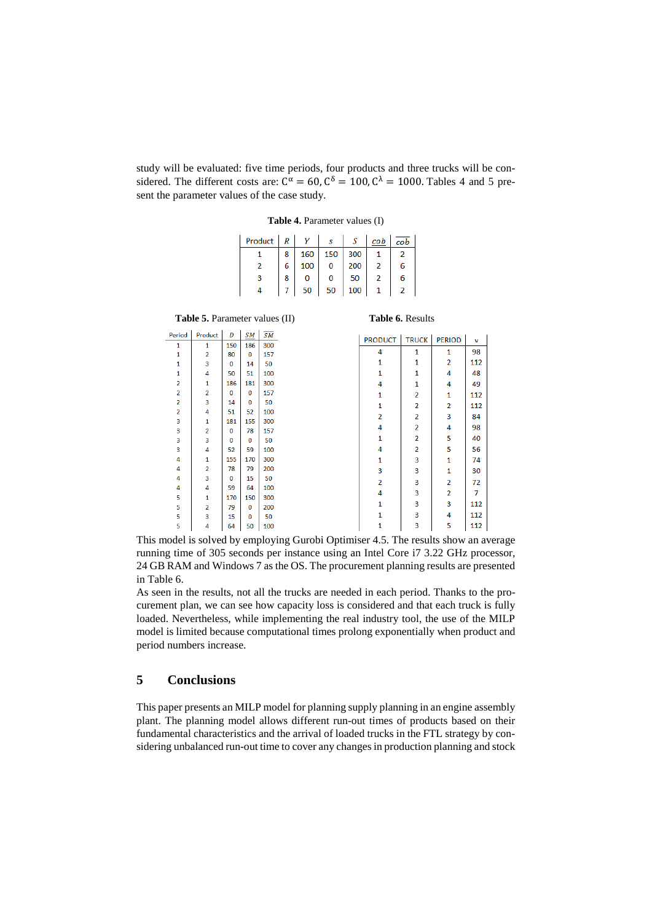study will be evaluated: five time periods, four products and three trucks will be considered. The different costs are:  $C^{\alpha} = 60$ ,  $C^{\delta} = 100$ ,  $C^{\lambda} = 1000$ . Tables 4 and 5 present the parameter values of the case study.

**Table 4.** Parameter values (I)

| Product |   |     |     |     | cob | cob |
|---------|---|-----|-----|-----|-----|-----|
|         | 8 | 160 | 150 | 300 |     |     |
|         | 6 | 100 |     | 200 |     |     |
|         | 8 |     |     | 50  |     | ь   |
|         |   | 50  | 50  | 100 |     |     |

Table 5. Parameter values (II) Table 6. Results

| Period         | Product        | D           | <b>SM</b>   | $\overline{SM}$ | <b>PRODUCT</b> | <b>TRUCK</b>   | <b>PERIOD</b>  | v   |
|----------------|----------------|-------------|-------------|-----------------|----------------|----------------|----------------|-----|
| 1              | 1              | 150         | 186         | 300             |                |                |                |     |
| 1              | $\overline{2}$ | 80          | $\mathbf 0$ | 157             | 4              | 1              | 1              | 98  |
| 1              | 3              | $\Omega$    | 14          | 50              | 1              | 1              | $\overline{2}$ | 112 |
| 1              | 4              | 50          | 51          | 100             | 1              | 1              | 4              | 48  |
| $\overline{2}$ | 1              | 186         | 181         | 300             | 4              | 1              | 4              | 49  |
| $\overline{2}$ | $\overline{a}$ | $\Omega$    | $\mathbf 0$ | 157             | 1              | 2              | 1              | 112 |
| $\overline{2}$ | 3              | 14          | $\mathbf 0$ | 50              | 1              | $\overline{2}$ | 2              | 112 |
| $\overline{2}$ | 4              | 51          | 52          | 100             | 2              | $\overline{2}$ | 3              | 84  |
| 3              | 1              | 181         | 155         | 300             |                |                |                |     |
| 3              | 2              | $\bf{0}$    | 78          | 157             | 4              | $\overline{2}$ | 4              | 98  |
| 3              | 3              | $\Omega$    | 0           | 50              | 1              | 2              | 5              | 40  |
| 3              | 4              | 52          | 59          | 100             | 4              | $\overline{2}$ | 5              | 56  |
| 4              | 1              | 155         | 170         | 300             | 1              | 3              | 1              | 74  |
| 4              | 2              | 78          | 79          | 200             | 3              | 3              | 1              | 30  |
| 4              | 3              | $\mathbf 0$ | 15          | 50              | $\overline{2}$ | 3              | $\overline{2}$ | 72  |
| 4              | 4              | 59          | 64          | 100             |                |                |                |     |
| 5              | 1              | 170         | 150         | 300             | 4              | 3              | $\overline{2}$ | 7   |
| 5              | $\overline{a}$ | 79          | $\mathbf 0$ | 200             | 1              | 3              | 3              | 112 |
| 5              | 3              | 15          | 0           | 50              | 1              | 3              | 4              | 112 |
| 5              | 4              | 64          | 50          | 100             | 1              | 3              | 5              | 112 |

This model is solved by employing Gurobi Optimiser 4.5. The results show an average running time of 305 seconds per instance using an Intel Core i7 3.22 GHz processor, 24 GB RAM and Windows 7 as the OS. The procurement planning results are presented in Table 6.

As seen in the results, not all the trucks are needed in each period. Thanks to the procurement plan, we can see how capacity loss is considered and that each truck is fully loaded. Nevertheless, while implementing the real industry tool, the use of the MILP model is limited because computational times prolong exponentially when product and period numbers increase.

## **5 Conclusions**

This paper presents an MILP model for planning supply planning in an engine assembly plant. The planning model allows different run-out times of products based on their fundamental characteristics and the arrival of loaded trucks in the FTL strategy by considering unbalanced run-out time to cover any changes in production planning and stock